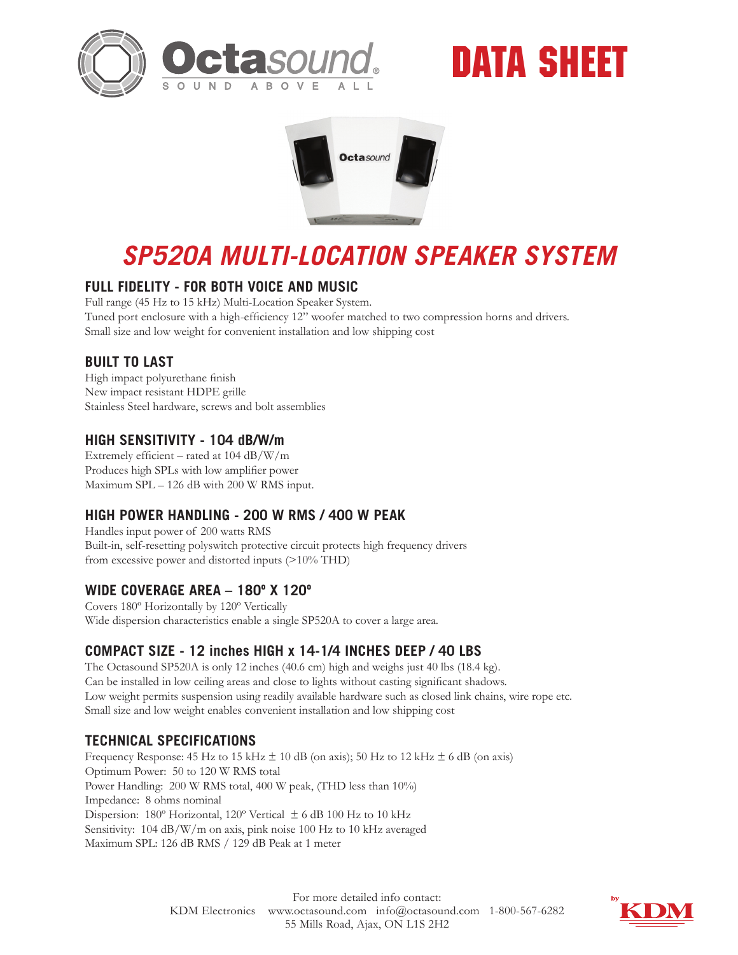

# DATA SHEET



## *SP520A MULTI-LOCATION SPEAKER SYSTEM*

### **FULL FIDELITY - FOR BOTH VOICE AND MUSIC**

Full range (45 Hz to 15 kHz) Multi-Location Speaker System. Tuned port enclosure with a high-efficiency 12" woofer matched to two compression horns and drivers. Small size and low weight for convenient installation and low shipping cost

#### **BUILT TO LAST**

High impact polyurethane finish New impact resistant HDPE grille Stainless Steel hardware, screws and bolt assemblies

### **HIGH SENSITIVITY - 104 dB/W/m**

Extremely efficient – rated at 104 dB/W/m Produces high SPLs with low amplifier power Maximum SPL – 126 dB with 200 W RMS input.

### **HIGH POWER HANDLING - 200 W RMS / 400 W PEAK**

Handles input power of 200 watts RMS Built-in, self-resetting polyswitch protective circuit protects high frequency drivers from excessive power and distorted inputs (>10% THD)

### **WIDE COVERAGE AREA – 180º X 120º**

Covers 180º Horizontally by 120º Vertically Wide dispersion characteristics enable a single SP520A to cover a large area.

### **COMPACT SIZE - 12 inches HIGH x 14-1/4 INCHES DEEP / 40 LBS**

The Octasound SP520A is only 12 inches (40.6 cm) high and weighs just 40 lbs (18.4 kg). Can be installed in low ceiling areas and close to lights without casting significant shadows. Low weight permits suspension using readily available hardware such as closed link chains, wire rope etc. Small size and low weight enables convenient installation and low shipping cost

### **TECHNICAL SPECIFICATIONS**

Frequency Response: 45 Hz to 15 kHz  $\pm$  10 dB (on axis); 50 Hz to 12 kHz  $\pm$  6 dB (on axis) Optimum Power: 50 to 120 W RMS total Power Handling: 200 W RMS total, 400 W peak, (THD less than 10%) Impedance: 8 ohms nominal Dispersion: 180º Horizontal, 120º Vertical ± 6 dB 100 Hz to 10 kHz Sensitivity: 104 dB/W/m on axis, pink noise 100 Hz to 10 kHz averaged Maximum SPL: 126 dB RMS / 129 dB Peak at 1 meter